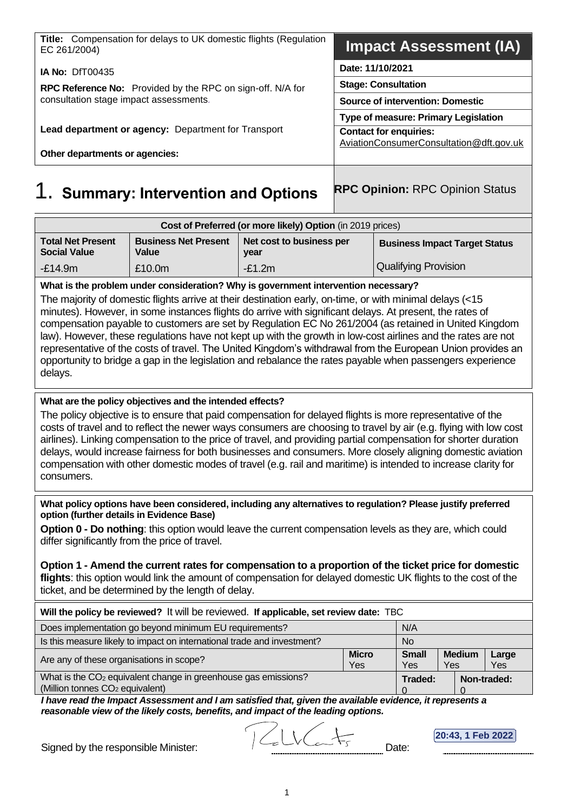| <b>Title:</b> Compensation for delays to UK domestic flights (Regulation<br>EC 261/2004) | <b>Impact Assessment (IA)</b>           |  |
|------------------------------------------------------------------------------------------|-----------------------------------------|--|
| <b>IA No: DfT00435</b>                                                                   | Date: 11/10/2021                        |  |
| <b>RPC Reference No:</b> Provided by the RPC on sign-off. N/A for                        | <b>Stage: Consultation</b>              |  |
| consultation stage impact assessments.                                                   | <b>Source of intervention: Domestic</b> |  |
|                                                                                          | Type of measure: Primary Legislation    |  |
| Lead department or agency: Department for Transport                                      | <b>Contact for enquiries:</b>           |  |
| Other departments or agencies:                                                           | AviationConsumerConsultation@dft.gov.uk |  |
|                                                                                          |                                         |  |

# **Summary: Intervention and Options RPC Opinion: RPC Opinion Status**

| Cost of Preferred (or more likely) Option (in 2019 prices) |                                      |                                  |                                      |  |  |
|------------------------------------------------------------|--------------------------------------|----------------------------------|--------------------------------------|--|--|
| <b>Total Net Present</b><br><b>Social Value</b>            | <b>Business Net Present</b><br>Value | Net cost to business per<br>year | <b>Business Impact Target Status</b> |  |  |
| $-£14.9m$                                                  | £10.0m                               | $-E1.2m$                         | Qualifying Provision                 |  |  |

**What is the problem under consideration? Why is government intervention necessary?**

The majority of domestic flights arrive at their destination early, on-time, or with minimal delays (<15 minutes). However, in some instances flights do arrive with significant delays. At present, the rates of compensation payable to customers are set by Regulation EC No 261/2004 (as retained in United Kingdom law). However, these regulations have not kept up with the growth in low-cost airlines and the rates are not representative of the costs of travel. The United Kingdom's withdrawal from the European Union provides an opportunity to bridge a gap in the legislation and rebalance the rates payable when passengers experience delays.

### **What are the policy objectives and the intended effects?**

The policy objective is to ensure that paid compensation for delayed flights is more representative of the costs of travel and to reflect the newer ways consumers are choosing to travel by air (e.g. flying with low cost airlines). Linking compensation to the price of travel, and providing partial compensation for shorter duration delays, would increase fairness for both businesses and consumers. More closely aligning domestic aviation compensation with other domestic modes of travel (e.g. rail and maritime) is intended to increase clarity for consumers.

**What policy options have been considered, including any alternatives to regulation? Please justify preferred option (further details in Evidence Base)**

**Option 0 - Do nothing**: this option would leave the current compensation levels as they are, which could differ significantly from the price of travel.

**Option 1 - Amend the current rates for compensation to a proportion of the ticket price for domestic flights**: this option would link the amount of compensation for delayed domestic UK flights to the cost of the ticket, and be determined by the length of delay.

| Will the policy be reviewed? It will be reviewed. If applicable, set review date: TBC                                     |           |                     |                      |              |  |
|---------------------------------------------------------------------------------------------------------------------------|-----------|---------------------|----------------------|--------------|--|
| Does implementation go beyond minimum EU requirements?<br>N/A                                                             |           |                     |                      |              |  |
| Is this measure likely to impact on international trade and investment?                                                   | <b>No</b> |                     |                      |              |  |
| <b>Micro</b><br>Are any of these organisations in scope?<br>Yes                                                           |           | <b>Small</b><br>Yes | <b>Medium</b><br>Yes | Large<br>Yes |  |
| What is the CO <sub>2</sub> equivalent change in greenhouse gas emissions?<br>(Million tonnes CO <sub>2</sub> equivalent) |           | Traded:             |                      | Non-traded:  |  |

*I have read the Impact Assessment and I am satisfied that, given the available evidence, it represents a reasonable view of the likely costs, benefits, and impact of the leading options.*

**20:43, 1 Feb 2022**

Signed by the responsible Minister:  $\sqrt{2}$   $\sqrt{2}$   $\sqrt{3}$  Date: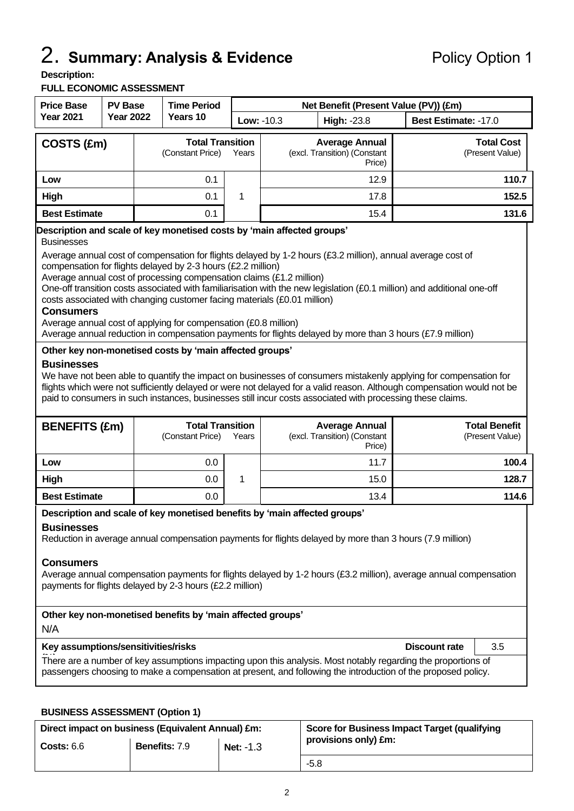# 2. **Summary: Analysis & Evidence** Policy Option 1

#### **Description:**

#### **FULL ECONOMIC ASSESSMENT**

| <b>Price Base</b><br><b>PV Base</b>                                    |                  |  | <b>Time Period</b>                          |       |                   | Net Benefit (Present Value (PV)) (£m)                           |                                      |  |
|------------------------------------------------------------------------|------------------|--|---------------------------------------------|-------|-------------------|-----------------------------------------------------------------|--------------------------------------|--|
| <b>Year 2021</b>                                                       | <b>Year 2022</b> |  | Years 10                                    |       | <b>Low: -10.3</b> | <b>High: -23.8</b>                                              | <b>Best Estimate: -17.0</b>          |  |
| COSTS (£m)                                                             |                  |  | <b>Total Transition</b><br>(Constant Price) | Years |                   | <b>Average Annual</b><br>(excl. Transition) (Constant<br>Price) | <b>Total Cost</b><br>(Present Value) |  |
| Low                                                                    |                  |  | 0.1                                         |       |                   | 12.9                                                            | 110.7                                |  |
| High                                                                   |                  |  | 0.1                                         | 1     |                   | 17.8                                                            | 152.5                                |  |
| <b>Best Estimate</b>                                                   |                  |  | 0.1                                         |       |                   | 15.4                                                            | 131.6                                |  |
| Description and scale of key monetised costs by 'main affected groups' |                  |  |                                             |       |                   |                                                                 |                                      |  |

#### **Description and scale of key monetised costs by 'main affected groups'**

**Businesses** 

Average annual cost of compensation for flights delayed by 1-2 hours (£3.2 million), annual average cost of compensation for flights delayed by 2-3 hours (£2.2 million)

Average annual cost of processing compensation claims (£1.2 million)

One-off transition costs associated with familiarisation with the new legislation (£0.1 million) and additional one-off costs associated with changing customer facing materials (£0.01 million)

#### **Consumers**

Average annual cost of applying for compensation (£0.8 million)

Average annual reduction in compensation payments for flights delayed by more than 3 hours (£7.9 million)

#### **Other key non-monetised costs by 'main affected groups'**

#### **Businesses**

We have not been able to quantify the impact on businesses of consumers mistakenly applying for compensation for flights which were not sufficiently delayed or were not delayed for a valid reason. Although compensation would not be paid to consumers in such instances, businesses still incur costs associated with processing these claims.

| <b>BENEFITS (£m)</b> | <b>Total Transition</b><br>(Constant Price)<br>Years |  | <b>Average Annual</b><br>(excl. Transition) (Constant<br>Price) | <b>Total Benefit</b><br>(Present Value) |
|----------------------|------------------------------------------------------|--|-----------------------------------------------------------------|-----------------------------------------|
| Low                  | 0.0                                                  |  | 11.7                                                            | 100.4                                   |
| High                 | 0.0                                                  |  | 15.0                                                            | 128.7                                   |
| <b>Best Estimate</b> | 0.0                                                  |  | 13.4                                                            | 114.6                                   |

#### **Description and scale of key monetised benefits by 'main affected groups'**

#### **Businesses**

Reduction in average annual compensation payments for flights delayed by more than 3 hours (7.9 million)

#### **Consumers**

Average annual compensation payments for flights delayed by 1-2 hours (£3.2 million), average annual compensation payments for flights delayed by 2-3 hours (£2.2 million)

| Other key non-monetised benefits by 'main affected groups'<br>N/A                                                |               |     |
|------------------------------------------------------------------------------------------------------------------|---------------|-----|
| Key assumptions/sensitivities/risks<br>$- - - -$                                                                 | Discount rate | 3.5 |
| THE REPORT OF RELEASED FOR THE REPORT OF RELEASED FOR THE REPORT OF THE RELEASED OF RELEASED FOR THE RELEASED OF |               |     |

There are a number of key assumptions impacting upon this analysis. Most notably regarding the proportions of passengers choosing to make a compensation at present, and following the introduction of the proposed policy.

#### **BUSINESS ASSESSMENT (Option 1)**

| Direct impact on business (Equivalent Annual) £m: |                      |                  | Score for Business Impact Target (qualifying |
|---------------------------------------------------|----------------------|------------------|----------------------------------------------|
| Costs: 6.6                                        | <b>Benefits: 7.9</b> | <b>Net: -1.3</b> | provisions only) £m:                         |
|                                                   |                      |                  | $-5.8$                                       |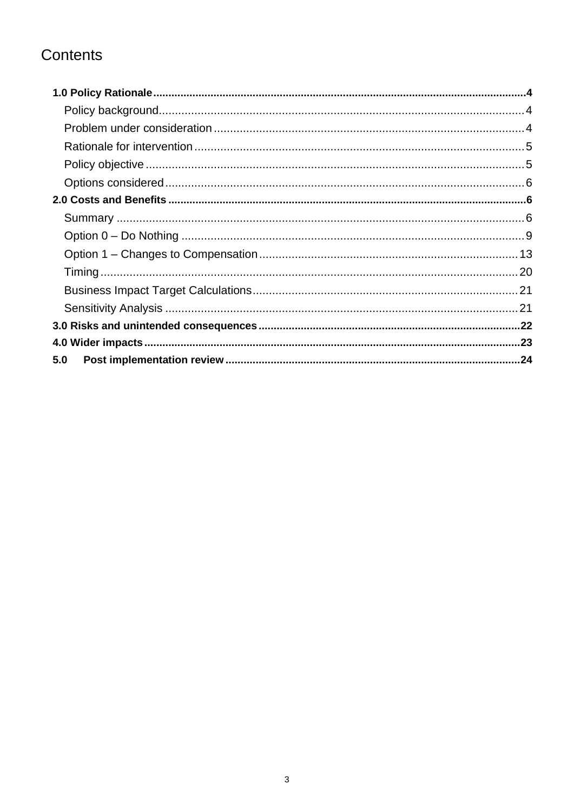# Contents

| 5.0 |  |
|-----|--|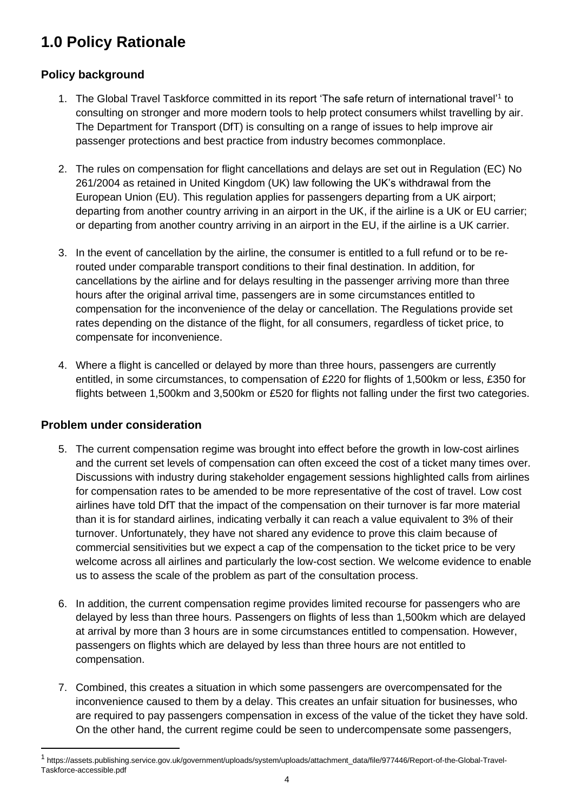# <span id="page-3-0"></span>**1.0 Policy Rationale**

# <span id="page-3-1"></span>**Policy background**

- 1. The Global Travel Taskforce committed in its report 'The safe return of international travel'<sup>1</sup> to consulting on stronger and more modern tools to help protect consumers whilst travelling by air. The Department for Transport (DfT) is consulting on a range of issues to help improve air passenger protections and best practice from industry becomes commonplace.
- 2. The rules on compensation for flight cancellations and delays are set out in Regulation (EC) No 261/2004 as retained in United Kingdom (UK) law following the UK's withdrawal from the European Union (EU). This regulation applies for passengers departing from a UK airport; departing from another country arriving in an airport in the UK, if the airline is a UK or EU carrier; or departing from another country arriving in an airport in the EU, if the airline is a UK carrier.
- 3. In the event of cancellation by the airline, the consumer is entitled to a full refund or to be rerouted under comparable transport conditions to their final destination. In addition, for cancellations by the airline and for delays resulting in the passenger arriving more than three hours after the original arrival time, passengers are in some circumstances entitled to compensation for the inconvenience of the delay or cancellation. The Regulations provide set rates depending on the distance of the flight, for all consumers, regardless of ticket price, to compensate for inconvenience.
- 4. Where a flight is cancelled or delayed by more than three hours, passengers are currently entitled, in some circumstances, to compensation of £220 for flights of 1,500km or less, £350 for flights between 1,500km and 3,500km or £520 for flights not falling under the first two categories.

# <span id="page-3-2"></span>**Problem under consideration**

- 5. The current compensation regime was brought into effect before the growth in low-cost airlines and the current set levels of compensation can often exceed the cost of a ticket many times over. Discussions with industry during stakeholder engagement sessions highlighted calls from airlines for compensation rates to be amended to be more representative of the cost of travel. Low cost airlines have told DfT that the impact of the compensation on their turnover is far more material than it is for standard airlines, indicating verbally it can reach a value equivalent to 3% of their turnover. Unfortunately, they have not shared any evidence to prove this claim because of commercial sensitivities but we expect a cap of the compensation to the ticket price to be very welcome across all airlines and particularly the low-cost section. We welcome evidence to enable us to assess the scale of the problem as part of the consultation process.
- 6. In addition, the current compensation regime provides limited recourse for passengers who are delayed by less than three hours. Passengers on flights of less than 1,500km which are delayed at arrival by more than 3 hours are in some circumstances entitled to compensation. However, passengers on flights which are delayed by less than three hours are not entitled to compensation.
- 7. Combined, this creates a situation in which some passengers are overcompensated for the inconvenience caused to them by a delay. This creates an unfair situation for businesses, who are required to pay passengers compensation in excess of the value of the ticket they have sold. On the other hand, the current regime could be seen to undercompensate some passengers,

<sup>&</sup>lt;sup>1</sup> https://assets.publishing.service.gov.uk/government/uploads/system/uploads/attachment\_data/file/977446/Report-of-the-Global-Travel-Taskforce-accessible.pdf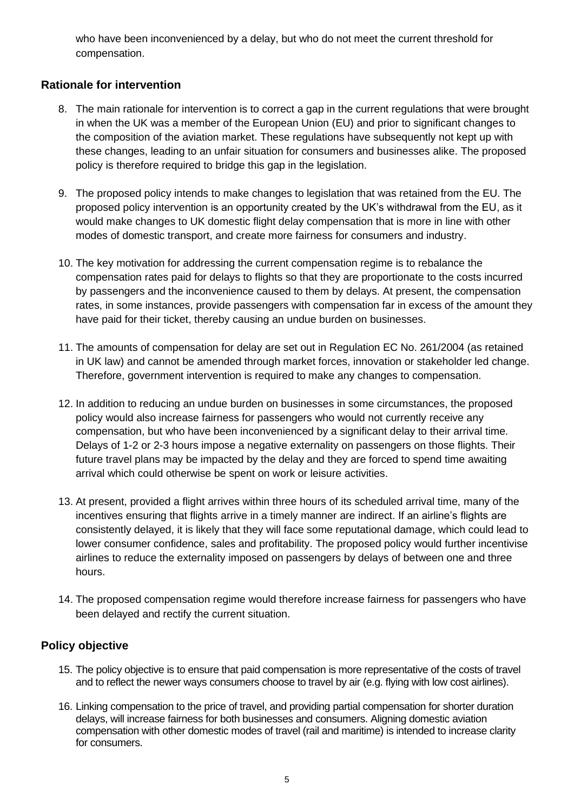who have been inconvenienced by a delay, but who do not meet the current threshold for compensation.

# <span id="page-4-0"></span>**Rationale for intervention**

- 8. The main rationale for intervention is to correct a gap in the current regulations that were brought in when the UK was a member of the European Union (EU) and prior to significant changes to the composition of the aviation market. These regulations have subsequently not kept up with these changes, leading to an unfair situation for consumers and businesses alike. The proposed policy is therefore required to bridge this gap in the legislation.
- 9. The proposed policy intends to make changes to legislation that was retained from the EU. The proposed policy intervention is an opportunity created by the UK's withdrawal from the EU, as it would make changes to UK domestic flight delay compensation that is more in line with other modes of domestic transport, and create more fairness for consumers and industry.
- 10. The key motivation for addressing the current compensation regime is to rebalance the compensation rates paid for delays to flights so that they are proportionate to the costs incurred by passengers and the inconvenience caused to them by delays. At present, the compensation rates, in some instances, provide passengers with compensation far in excess of the amount they have paid for their ticket, thereby causing an undue burden on businesses.
- 11. The amounts of compensation for delay are set out in Regulation EC No. 261/2004 (as retained in UK law) and cannot be amended through market forces, innovation or stakeholder led change. Therefore, government intervention is required to make any changes to compensation.
- 12. In addition to reducing an undue burden on businesses in some circumstances, the proposed policy would also increase fairness for passengers who would not currently receive any compensation, but who have been inconvenienced by a significant delay to their arrival time. Delays of 1-2 or 2-3 hours impose a negative externality on passengers on those flights. Their future travel plans may be impacted by the delay and they are forced to spend time awaiting arrival which could otherwise be spent on work or leisure activities.
- 13. At present, provided a flight arrives within three hours of its scheduled arrival time, many of the incentives ensuring that flights arrive in a timely manner are indirect. If an airline's flights are consistently delayed, it is likely that they will face some reputational damage, which could lead to lower consumer confidence, sales and profitability. The proposed policy would further incentivise airlines to reduce the externality imposed on passengers by delays of between one and three hours.
- 14. The proposed compensation regime would therefore increase fairness for passengers who have been delayed and rectify the current situation.

# <span id="page-4-1"></span>**Policy objective**

- 15. The policy objective is to ensure that paid compensation is more representative of the costs of travel and to reflect the newer ways consumers choose to travel by air (e.g. flying with low cost airlines).
- 16. Linking compensation to the price of travel, and providing partial compensation for shorter duration delays, will increase fairness for both businesses and consumers. Aligning domestic aviation compensation with other domestic modes of travel (rail and maritime) is intended to increase clarity for consumers.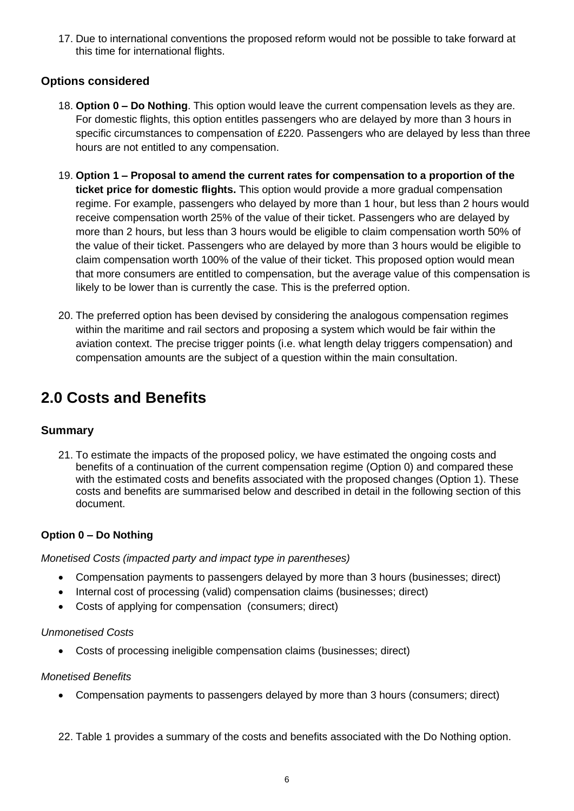17. Due to international conventions the proposed reform would not be possible to take forward at this time for international flights.

# <span id="page-5-0"></span>**Options considered**

- 18. **Option 0 – Do Nothing**. This option would leave the current compensation levels as they are. For domestic flights, this option entitles passengers who are delayed by more than 3 hours in specific circumstances to compensation of £220. Passengers who are delayed by less than three hours are not entitled to any compensation.
- 19. **Option 1 – Proposal to amend the current rates for compensation to a proportion of the ticket price for domestic flights.** This option would provide a more gradual compensation regime. For example, passengers who delayed by more than 1 hour, but less than 2 hours would receive compensation worth 25% of the value of their ticket. Passengers who are delayed by more than 2 hours, but less than 3 hours would be eligible to claim compensation worth 50% of the value of their ticket. Passengers who are delayed by more than 3 hours would be eligible to claim compensation worth 100% of the value of their ticket. This proposed option would mean that more consumers are entitled to compensation, but the average value of this compensation is likely to be lower than is currently the case. This is the preferred option.
- 20. The preferred option has been devised by considering the analogous compensation regimes within the maritime and rail sectors and proposing a system which would be fair within the aviation context. The precise trigger points (i.e. what length delay triggers compensation) and compensation amounts are the subject of a question within the main consultation.

# <span id="page-5-1"></span>**2.0 Costs and Benefits**

# <span id="page-5-2"></span>**Summary**

21. To estimate the impacts of the proposed policy, we have estimated the ongoing costs and benefits of a continuation of the current compensation regime (Option 0) and compared these with the estimated costs and benefits associated with the proposed changes (Option 1). These costs and benefits are summarised below and described in detail in the following section of this document.

#### **Option 0 – Do Nothing**

*Monetised Costs (impacted party and impact type in parentheses)* 

- Compensation payments to passengers delayed by more than 3 hours (businesses; direct)
- Internal cost of processing (valid) compensation claims (businesses; direct)
- Costs of applying for compensation (consumers; direct)

#### *Unmonetised Costs*

• Costs of processing ineligible compensation claims (businesses; direct)

#### *Monetised Benefits*

• Compensation payments to passengers delayed by more than 3 hours (consumers; direct)

22. [Table 1](#page-6-0) provides a summary of the costs and benefits associated with the Do Nothing option.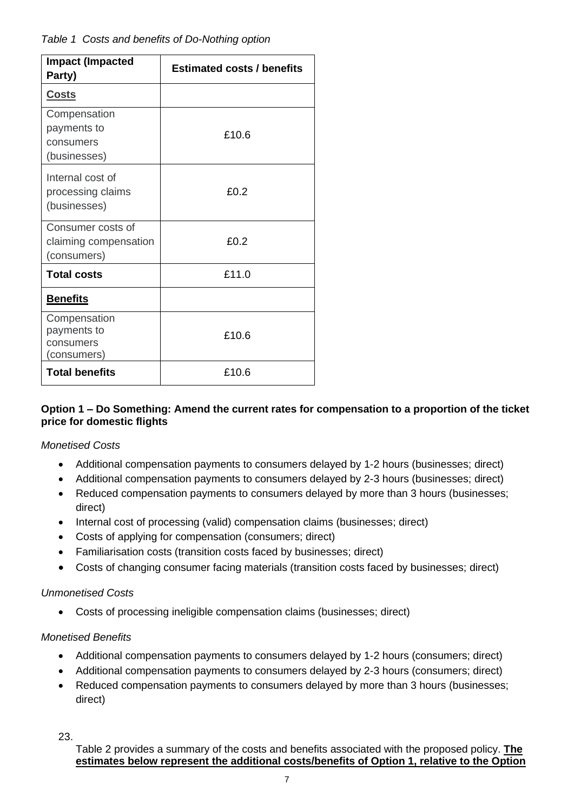# <span id="page-6-0"></span>*Table 1 Costs and benefits of Do-Nothing option*

| <b>Impact (Impacted</b><br>Party)                         | <b>Estimated costs / benefits</b> |
|-----------------------------------------------------------|-----------------------------------|
| <b>Costs</b>                                              |                                   |
| Compensation<br>payments to<br>consumers<br>(businesses)  | £10.6                             |
| Internal cost of<br>processing claims<br>(businesses)     | £0.2                              |
| Consumer costs of<br>claiming compensation<br>(consumers) | £0.2                              |
| <b>Total costs</b>                                        | £11.0                             |
| <b>Benefits</b>                                           |                                   |
| Compensation<br>payments to<br>consumers<br>(consumers)   | £10.6                             |
| <b>Total benefits</b>                                     | £10.6                             |

### **Option 1 – Do Something: Amend the current rates for compensation to a proportion of the ticket price for domestic flights**

# *Monetised Costs*

- Additional compensation payments to consumers delayed by 1-2 hours (businesses; direct)
- Additional compensation payments to consumers delayed by 2-3 hours (businesses; direct)
- Reduced compensation payments to consumers delayed by more than 3 hours (businesses; direct)
- Internal cost of processing (valid) compensation claims (businesses; direct)
- Costs of applying for compensation (consumers; direct)
- Familiarisation costs (transition costs faced by businesses; direct)
- Costs of changing consumer facing materials (transition costs faced by businesses; direct)

#### *Unmonetised Costs*

• Costs of processing ineligible compensation claims (businesses; direct)

#### *Monetised Benefits*

- Additional compensation payments to consumers delayed by 1-2 hours (consumers; direct)
- Additional compensation payments to consumers delayed by 2-3 hours (consumers; direct)
- Reduced compensation payments to consumers delayed by more than 3 hours (businesses; direct)

23.

[Table 2](#page-7-0) provides a summary of the costs and benefits associated with the proposed policy. **The estimates below represent the additional costs/benefits of Option 1, relative to the Option**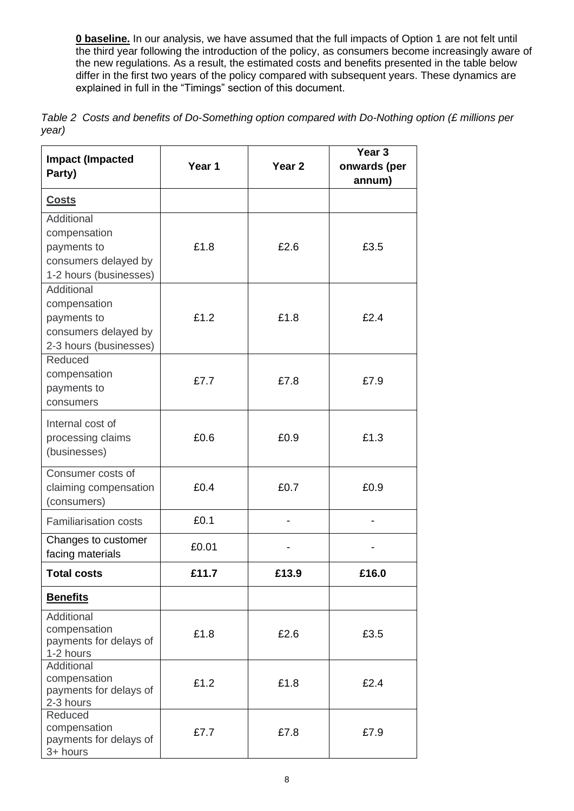**0 baseline.** In our analysis, we have assumed that the full impacts of Option 1 are not felt until the third year following the introduction of the policy, as consumers become increasingly aware of the new regulations. As a result, the estimated costs and benefits presented in the table below differ in the first two years of the policy compared with subsequent years. These dynamics are explained in full in the "Timings" section of this document.

<span id="page-7-0"></span>

|       | Table 2 Costs and benefits of Do-Something option compared with Do-Nothing option (£ millions per |  |
|-------|---------------------------------------------------------------------------------------------------|--|
| year) |                                                                                                   |  |

| Party)                                         |  |
|------------------------------------------------|--|
| annum)                                         |  |
| <b>Costs</b>                                   |  |
| Additional                                     |  |
| compensation                                   |  |
| £1.8<br>£2.6<br>£3.5<br>payments to            |  |
| consumers delayed by                           |  |
| 1-2 hours (businesses)                         |  |
| Additional                                     |  |
| compensation                                   |  |
| £1.2<br>£2.4<br>£1.8<br>payments to            |  |
| consumers delayed by                           |  |
| 2-3 hours (businesses)                         |  |
| Reduced                                        |  |
| compensation<br>£7.7<br>£7.8<br>£7.9           |  |
| payments to                                    |  |
| consumers                                      |  |
| Internal cost of                               |  |
| £0.6<br>£1.3<br>processing claims<br>£0.9      |  |
| (businesses)                                   |  |
|                                                |  |
| Consumer costs of                              |  |
| £0.4<br>£0.7<br>£0.9<br>claiming compensation  |  |
| (consumers)                                    |  |
| £0.1<br><b>Familiarisation costs</b>           |  |
| Changes to customer<br>£0.01                   |  |
| facing materials                               |  |
| £13.9<br>£16.0<br><b>Total costs</b><br>£11.7  |  |
| <b>Benefits</b>                                |  |
| Additional                                     |  |
| compensation<br>£1.8<br>£2.6<br>£3.5           |  |
| payments for delays of                         |  |
| 1-2 hours<br>Additional                        |  |
| compensation                                   |  |
| £1.2<br>£1.8<br>£2.4<br>payments for delays of |  |
| 2-3 hours                                      |  |
| Reduced                                        |  |
| compensation<br>£7.7<br>£7.9<br>£7.8           |  |
| payments for delays of<br>3+ hours             |  |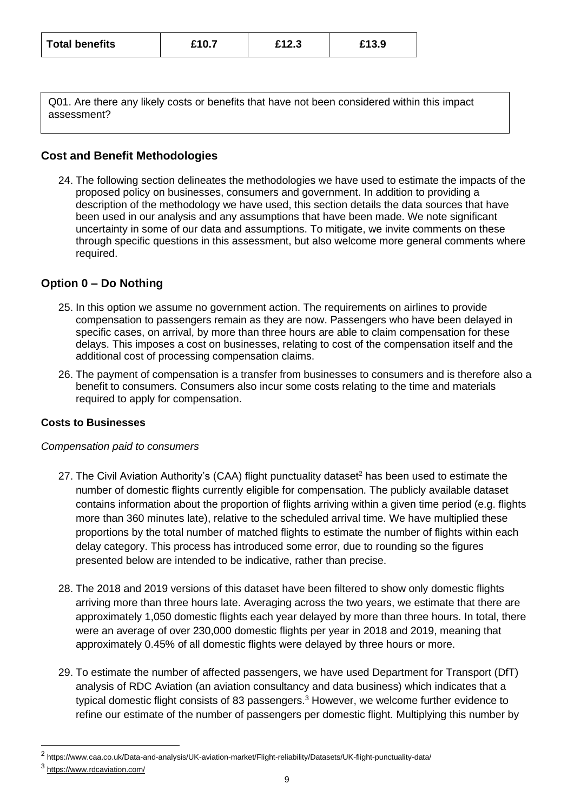| <b>Total benefits</b> | £10.7 | £12.3 | £13.9 |  |
|-----------------------|-------|-------|-------|--|
|                       |       |       |       |  |

Q01. Are there any likely costs or benefits that have not been considered within this impact assessment?

# <span id="page-8-0"></span>**Cost and Benefit Methodologies**

24. The following section delineates the methodologies we have used to estimate the impacts of the proposed policy on businesses, consumers and government. In addition to providing a description of the methodology we have used, this section details the data sources that have been used in our analysis and any assumptions that have been made. We note significant uncertainty in some of our data and assumptions. To mitigate, we invite comments on these through specific questions in this assessment, but also welcome more general comments where required.

# **Option 0 – Do Nothing**

- 25. In this option we assume no government action. The requirements on airlines to provide compensation to passengers remain as they are now. Passengers who have been delayed in specific cases, on arrival, by more than three hours are able to claim compensation for these delays. This imposes a cost on businesses, relating to cost of the compensation itself and the additional cost of processing compensation claims.
- 26. The payment of compensation is a transfer from businesses to consumers and is therefore also a benefit to consumers. Consumers also incur some costs relating to the time and materials required to apply for compensation.

#### **Costs to Businesses**

#### *Compensation paid to consumers*

- 27. The Civil Aviation Authority's (CAA) flight punctuality dataset<sup>2</sup> has been used to estimate the number of domestic flights currently eligible for compensation. The publicly available dataset contains information about the proportion of flights arriving within a given time period (e.g. flights more than 360 minutes late), relative to the scheduled arrival time. We have multiplied these proportions by the total number of matched flights to estimate the number of flights within each delay category. This process has introduced some error, due to rounding so the figures presented below are intended to be indicative, rather than precise.
- 28. The 2018 and 2019 versions of this dataset have been filtered to show only domestic flights arriving more than three hours late. Averaging across the two years, we estimate that there are approximately 1,050 domestic flights each year delayed by more than three hours. In total, there were an average of over 230,000 domestic flights per year in 2018 and 2019, meaning that approximately 0.45% of all domestic flights were delayed by three hours or more.
- 29. To estimate the number of affected passengers, we have used Department for Transport (DfT) analysis of RDC Aviation (an aviation consultancy and data business) which indicates that a typical domestic flight consists of 83 passengers. $3$  However, we welcome further evidence to refine our estimate of the number of passengers per domestic flight. Multiplying this number by

<sup>&</sup>lt;sup>2</sup> https://www.caa.co.uk/Data-and-analysis/UK-aviation-market/Flight-reliability/Datasets/UK-flight-punctuality-data/

<sup>3</sup> <https://www.rdcaviation.com/>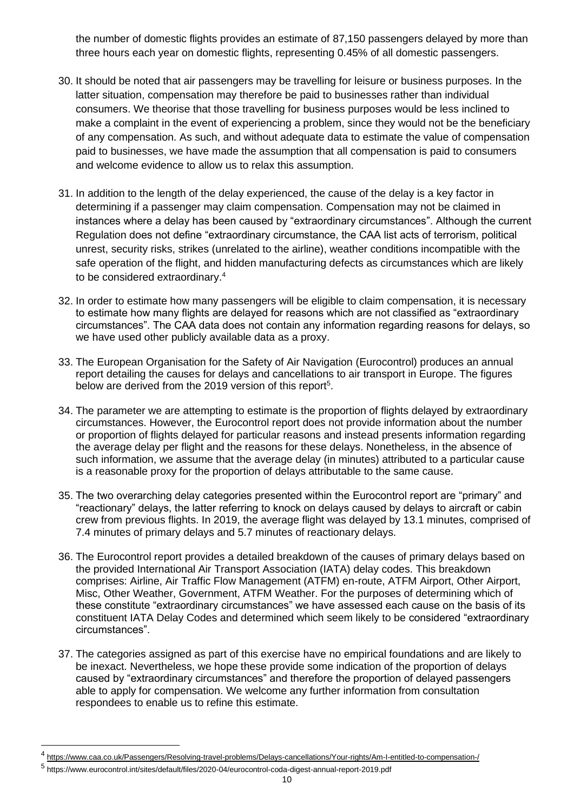the number of domestic flights provides an estimate of 87,150 passengers delayed by more than three hours each year on domestic flights, representing 0.45% of all domestic passengers.

- 30. It should be noted that air passengers may be travelling for leisure or business purposes. In the latter situation, compensation may therefore be paid to businesses rather than individual consumers. We theorise that those travelling for business purposes would be less inclined to make a complaint in the event of experiencing a problem, since they would not be the beneficiary of any compensation. As such, and without adequate data to estimate the value of compensation paid to businesses, we have made the assumption that all compensation is paid to consumers and welcome evidence to allow us to relax this assumption.
- 31. In addition to the length of the delay experienced, the cause of the delay is a key factor in determining if a passenger may claim compensation. Compensation may not be claimed in instances where a delay has been caused by "extraordinary circumstances". Although the current Regulation does not define "extraordinary circumstance, the CAA list acts of terrorism, political unrest, security risks, strikes (unrelated to the airline), weather conditions incompatible with the safe operation of the flight, and hidden manufacturing defects as circumstances which are likely to be considered extraordinary.<sup>4</sup>
- 32. In order to estimate how many passengers will be eligible to claim compensation, it is necessary to estimate how many flights are delayed for reasons which are not classified as "extraordinary circumstances". The CAA data does not contain any information regarding reasons for delays, so we have used other publicly available data as a proxy.
- 33. The European Organisation for the Safety of Air Navigation (Eurocontrol) produces an annual report detailing the causes for delays and cancellations to air transport in Europe. The figures below are derived from the 2019 version of this report<sup>5</sup>.
- 34. The parameter we are attempting to estimate is the proportion of flights delayed by extraordinary circumstances. However, the Eurocontrol report does not provide information about the number or proportion of flights delayed for particular reasons and instead presents information regarding the average delay per flight and the reasons for these delays. Nonetheless, in the absence of such information, we assume that the average delay (in minutes) attributed to a particular cause is a reasonable proxy for the proportion of delays attributable to the same cause.
- 35. The two overarching delay categories presented within the Eurocontrol report are "primary" and "reactionary" delays, the latter referring to knock on delays caused by delays to aircraft or cabin crew from previous flights. In 2019, the average flight was delayed by 13.1 minutes, comprised of 7.4 minutes of primary delays and 5.7 minutes of reactionary delays.
- 36. The Eurocontrol report provides a detailed breakdown of the causes of primary delays based on the provided International Air Transport Association (IATA) delay codes. This breakdown comprises: Airline, Air Traffic Flow Management (ATFM) en-route, ATFM Airport, Other Airport, Misc, Other Weather, Government, ATFM Weather. For the purposes of determining which of these constitute "extraordinary circumstances" we have assessed each cause on the basis of its constituent IATA Delay Codes and determined which seem likely to be considered "extraordinary circumstances".
- 37. The categories assigned as part of this exercise have no empirical foundations and are likely to be inexact. Nevertheless, we hope these provide some indication of the proportion of delays caused by "extraordinary circumstances" and therefore the proportion of delayed passengers able to apply for compensation. We welcome any further information from consultation respondees to enable us to refine this estimate.

<sup>4</sup> <https://www.caa.co.uk/Passengers/Resolving-travel-problems/Delays-cancellations/Your-rights/Am-I-entitled-to-compensation-/>

<sup>5</sup> https://www.eurocontrol.int/sites/default/files/2020-04/eurocontrol-coda-digest-annual-report-2019.pdf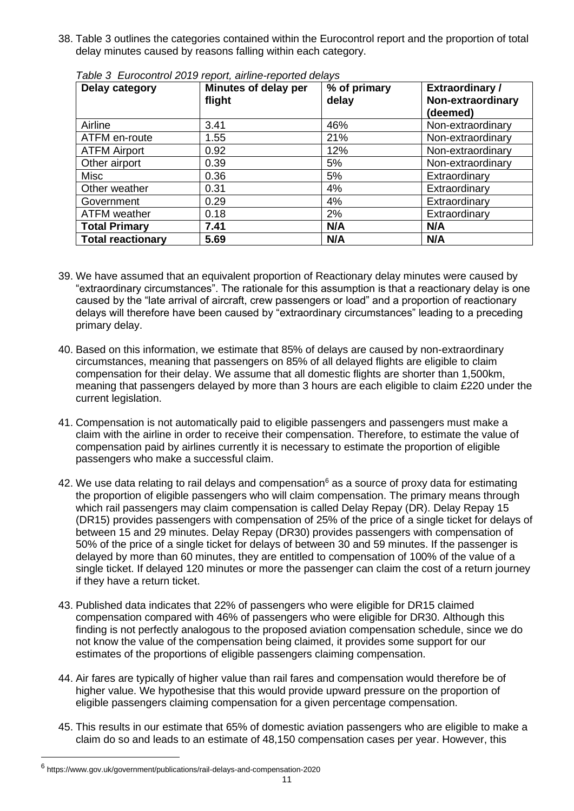38. [Table 3](#page-10-0) outlines the categories contained within the Eurocontrol report and the proportion of total delay minutes caused by reasons falling within each category.

| Delay category           | Minutes of delay per<br>flight | % of primary<br>delay | <b>Extraordinary/</b><br>Non-extraordinary<br>(deemed) |
|--------------------------|--------------------------------|-----------------------|--------------------------------------------------------|
| Airline                  | 3.41                           | 46%                   | Non-extraordinary                                      |
| ATFM en-route            | 1.55                           | 21%                   | Non-extraordinary                                      |
| <b>ATFM Airport</b>      | 0.92                           | 12%                   | Non-extraordinary                                      |
| Other airport            | 0.39                           | 5%                    | Non-extraordinary                                      |
| <b>Misc</b>              | 0.36                           | 5%                    | Extraordinary                                          |
| Other weather            | 0.31                           | 4%                    | Extraordinary                                          |
| Government               | 0.29                           | 4%                    | Extraordinary                                          |
| <b>ATFM</b> weather      | 0.18                           | 2%                    | Extraordinary                                          |
| <b>Total Primary</b>     | 7.41                           | N/A                   | N/A                                                    |
| <b>Total reactionary</b> | 5.69                           | N/A                   | N/A                                                    |

<span id="page-10-0"></span>*Table 3 Eurocontrol 2019 report, airline-reported delays*

- 39. We have assumed that an equivalent proportion of Reactionary delay minutes were caused by "extraordinary circumstances". The rationale for this assumption is that a reactionary delay is one caused by the "late arrival of aircraft, crew passengers or load" and a proportion of reactionary delays will therefore have been caused by "extraordinary circumstances" leading to a preceding primary delay.
- 40. Based on this information, we estimate that 85% of delays are caused by non-extraordinary circumstances, meaning that passengers on 85% of all delayed flights are eligible to claim compensation for their delay. We assume that all domestic flights are shorter than 1,500km, meaning that passengers delayed by more than 3 hours are each eligible to claim £220 under the current legislation.
- 41. Compensation is not automatically paid to eligible passengers and passengers must make a claim with the airline in order to receive their compensation. Therefore, to estimate the value of compensation paid by airlines currently it is necessary to estimate the proportion of eligible passengers who make a successful claim.
- 42. We use data relating to rail delays and compensation $6$  as a source of proxy data for estimating the proportion of eligible passengers who will claim compensation. The primary means through which rail passengers may claim compensation is called Delay Repay (DR). Delay Repay 15 (DR15) provides passengers with compensation of 25% of the price of a single ticket for delays of between 15 and 29 minutes. Delay Repay (DR30) provides passengers with compensation of 50% of the price of a single ticket for delays of between 30 and 59 minutes. If the passenger is delayed by more than 60 minutes, they are entitled to compensation of 100% of the value of a single ticket. If delayed 120 minutes or more the passenger can claim the cost of a return journey if they have a return ticket.
- 43. Published data indicates that 22% of passengers who were eligible for DR15 claimed compensation compared with 46% of passengers who were eligible for DR30. Although this finding is not perfectly analogous to the proposed aviation compensation schedule, since we do not know the value of the compensation being claimed, it provides some support for our estimates of the proportions of eligible passengers claiming compensation.
- 44. Air fares are typically of higher value than rail fares and compensation would therefore be of higher value. We hypothesise that this would provide upward pressure on the proportion of eligible passengers claiming compensation for a given percentage compensation.
- 45. This results in our estimate that 65% of domestic aviation passengers who are eligible to make a claim do so and leads to an estimate of 48,150 compensation cases per year. However, this

<sup>6</sup> https://www.gov.uk/government/publications/rail-delays-and-compensation-2020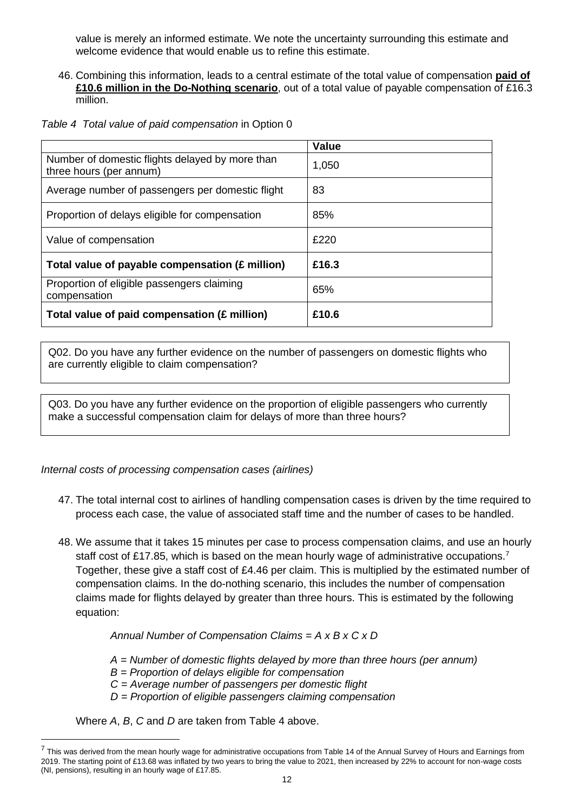value is merely an informed estimate. We note the uncertainty surrounding this estimate and welcome evidence that would enable us to refine this estimate.

46. Combining this information, leads to a central estimate of the total value of compensation **paid of £10.6 million in the Do-Nothing scenario**, out of a total value of payable compensation of £16.3 million.

| Table 4 Total value of paid compensation in Option 0 |  |  |  |  |  |
|------------------------------------------------------|--|--|--|--|--|
|------------------------------------------------------|--|--|--|--|--|

<span id="page-11-0"></span>

|                                                                            | <b>Value</b> |
|----------------------------------------------------------------------------|--------------|
| Number of domestic flights delayed by more than<br>three hours (per annum) | 1,050        |
| Average number of passengers per domestic flight                           | 83           |
| Proportion of delays eligible for compensation                             | 85%          |
| Value of compensation                                                      | £220         |
| Total value of payable compensation (£ million)                            | £16.3        |
| Proportion of eligible passengers claiming<br>compensation                 | 65%          |
| Total value of paid compensation (£ million)                               | £10.6        |

Q02. Do you have any further evidence on the number of passengers on domestic flights who are currently eligible to claim compensation?

Q03. Do you have any further evidence on the proportion of eligible passengers who currently make a successful compensation claim for delays of more than three hours?

*Internal costs of processing compensation cases (airlines)*

- 47. The total internal cost to airlines of handling compensation cases is driven by the time required to process each case, the value of associated staff time and the number of cases to be handled.
- 48. We assume that it takes 15 minutes per case to process compensation claims, and use an hourly staff cost of £17.85, which is based on the mean hourly wage of administrative occupations.<sup>7</sup> Together, these give a staff cost of £4.46 per claim. This is multiplied by the estimated number of compensation claims. In the do-nothing scenario, this includes the number of compensation claims made for flights delayed by greater than three hours. This is estimated by the following equation:

*Annual Number of Compensation Claims = A x B x C x D* 

*A = Number of domestic flights delayed by more than three hours (per annum)*

*B = Proportion of delays eligible for compensation*

*C = Average number of passengers per domestic flight*

*D = Proportion of eligible passengers claiming compensation*

Where *A*, *B*, *C* and *D* are taken from [Table 4](#page-11-0) above.

<sup>&</sup>lt;sup>7</sup> This was derived from the mean hourly wage for administrative occupations from Table 14 of the Annual Survey of Hours and Earnings from 2019. The starting point of £13.68 was inflated by two years to bring the value to 2021, then increased by 22% to account for non-wage costs (NI, pensions), resulting in an hourly wage of £17.85.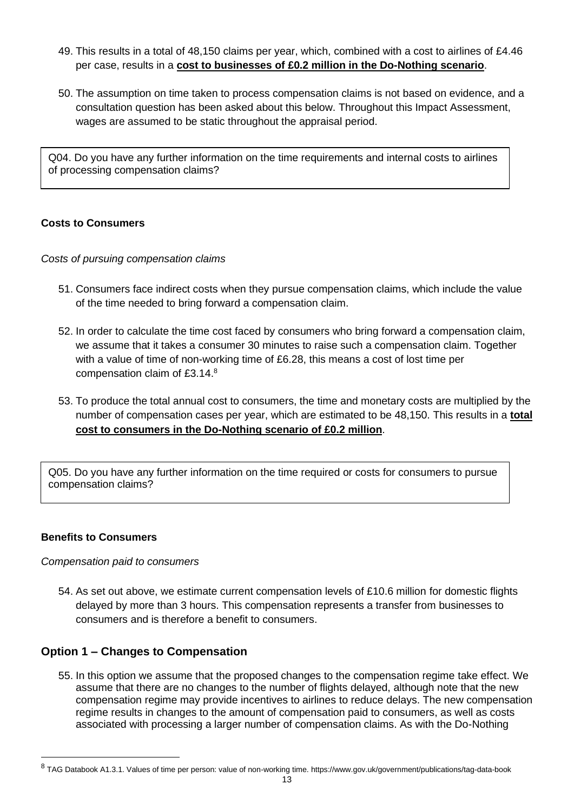- 49. This results in a total of 48,150 claims per year, which, combined with a cost to airlines of £4.46 per case, results in a **cost to businesses of £0.2 million in the Do-Nothing scenario**.
- 50. The assumption on time taken to process compensation claims is not based on evidence, and a consultation question has been asked about this below. Throughout this Impact Assessment, wages are assumed to be static throughout the appraisal period.

Q04. Do you have any further information on the time requirements and internal costs to airlines of processing compensation claims?

### **Costs to Consumers**

*Costs of pursuing compensation claims* 

- 51. Consumers face indirect costs when they pursue compensation claims, which include the value of the time needed to bring forward a compensation claim.
- 52. In order to calculate the time cost faced by consumers who bring forward a compensation claim, we assume that it takes a consumer 30 minutes to raise such a compensation claim. Together with a value of time of non-working time of £6.28, this means a cost of lost time per compensation claim of £3.14.<sup>8</sup>
- 53. To produce the total annual cost to consumers, the time and monetary costs are multiplied by the number of compensation cases per year, which are estimated to be 48,150. This results in a **total cost to consumers in the Do-Nothing scenario of £0.2 million**.

Q05. Do you have any further information on the time required or costs for consumers to pursue compensation claims?

#### **Benefits to Consumers**

#### *Compensation paid to consumers*

54. As set out above, we estimate current compensation levels of £10.6 million for domestic flights delayed by more than 3 hours. This compensation represents a transfer from businesses to consumers and is therefore a benefit to consumers.

# <span id="page-12-0"></span>**Option 1 – Changes to Compensation**

55. In this option we assume that the proposed changes to the compensation regime take effect. We assume that there are no changes to the number of flights delayed, although note that the new compensation regime may provide incentives to airlines to reduce delays. The new compensation regime results in changes to the amount of compensation paid to consumers, as well as costs associated with processing a larger number of compensation claims. As with the Do-Nothing

<sup>&</sup>lt;sup>8</sup> TAG Databook A1.3.1. Values of time per person: value of non-working time. https://www.gov.uk/government/publications/tag-data-book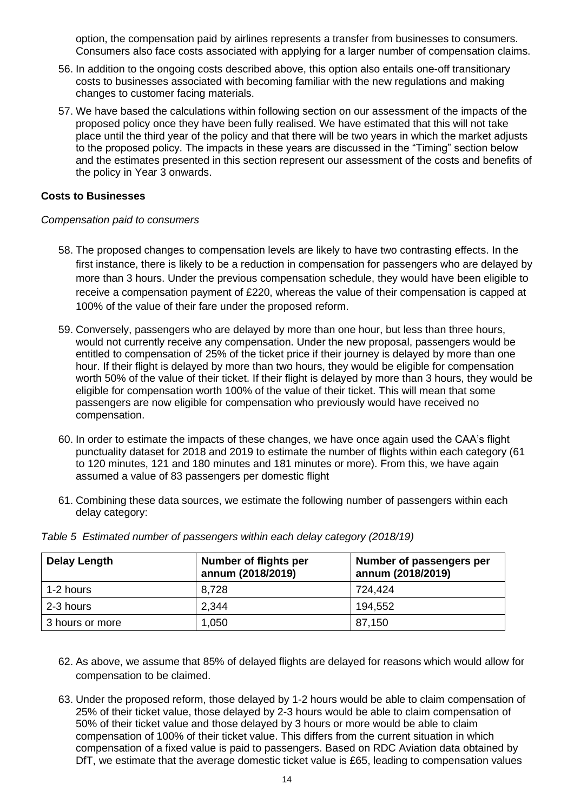option, the compensation paid by airlines represents a transfer from businesses to consumers. Consumers also face costs associated with applying for a larger number of compensation claims.

- 56. In addition to the ongoing costs described above, this option also entails one-off transitionary costs to businesses associated with becoming familiar with the new regulations and making changes to customer facing materials.
- 57. We have based the calculations within following section on our assessment of the impacts of the proposed policy once they have been fully realised. We have estimated that this will not take place until the third year of the policy and that there will be two years in which the market adjusts to the proposed policy. The impacts in these years are discussed in the "Timing" section below and the estimates presented in this section represent our assessment of the costs and benefits of the policy in Year 3 onwards.

#### **Costs to Businesses**

#### *Compensation paid to consumers*

- 58. The proposed changes to compensation levels are likely to have two contrasting effects. In the first instance, there is likely to be a reduction in compensation for passengers who are delayed by more than 3 hours. Under the previous compensation schedule, they would have been eligible to receive a compensation payment of £220, whereas the value of their compensation is capped at 100% of the value of their fare under the proposed reform.
- 59. Conversely, passengers who are delayed by more than one hour, but less than three hours, would not currently receive any compensation. Under the new proposal, passengers would be entitled to compensation of 25% of the ticket price if their journey is delayed by more than one hour. If their flight is delayed by more than two hours, they would be eligible for compensation worth 50% of the value of their ticket. If their flight is delayed by more than 3 hours, they would be eligible for compensation worth 100% of the value of their ticket. This will mean that some passengers are now eligible for compensation who previously would have received no compensation.
- 60. In order to estimate the impacts of these changes, we have once again used the CAA's flight punctuality dataset for 2018 and 2019 to estimate the number of flights within each category (61 to 120 minutes, 121 and 180 minutes and 181 minutes or more). From this, we have again assumed a value of 83 passengers per domestic flight
- 61. Combining these data sources, we estimate the following number of passengers within each delay category:

| <b>Delay Length</b> | Number of flights per<br>annum (2018/2019) | Number of passengers per<br>annum (2018/2019) |
|---------------------|--------------------------------------------|-----------------------------------------------|
| 1-2 hours           | 8,728                                      | 724.424                                       |
| 2-3 hours           | 2,344                                      | 194,552                                       |
| 3 hours or more     | 1,050                                      | 87,150                                        |

*Table 5 Estimated number of passengers within each delay category (2018/19)*

- 62. As above, we assume that 85% of delayed flights are delayed for reasons which would allow for compensation to be claimed.
- 63. Under the proposed reform, those delayed by 1-2 hours would be able to claim compensation of 25% of their ticket value, those delayed by 2-3 hours would be able to claim compensation of 50% of their ticket value and those delayed by 3 hours or more would be able to claim compensation of 100% of their ticket value. This differs from the current situation in which compensation of a fixed value is paid to passengers. Based on RDC Aviation data obtained by DfT, we estimate that the average domestic ticket value is £65, leading to compensation values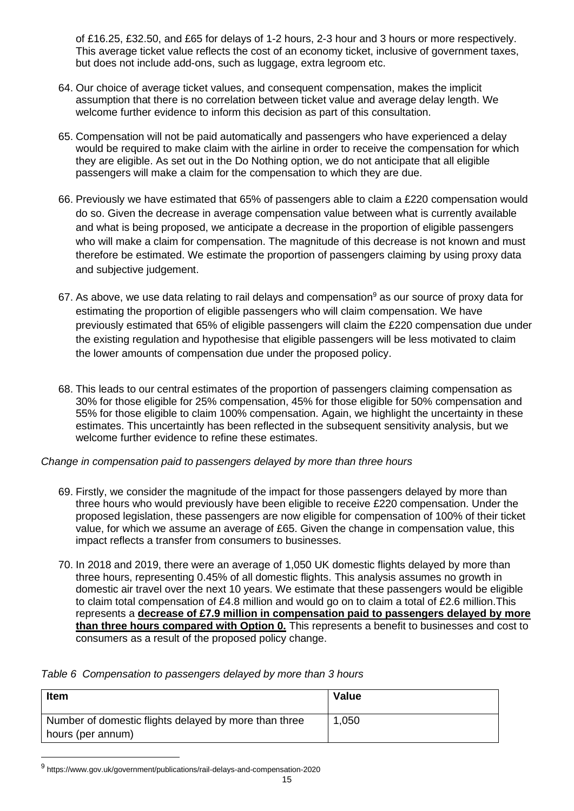of £16.25, £32.50, and £65 for delays of 1-2 hours, 2-3 hour and 3 hours or more respectively. This average ticket value reflects the cost of an economy ticket, inclusive of government taxes, but does not include add-ons, such as luggage, extra legroom etc.

- 64. Our choice of average ticket values, and consequent compensation, makes the implicit assumption that there is no correlation between ticket value and average delay length. We welcome further evidence to inform this decision as part of this consultation.
- 65. Compensation will not be paid automatically and passengers who have experienced a delay would be required to make claim with the airline in order to receive the compensation for which they are eligible. As set out in the Do Nothing option, we do not anticipate that all eligible passengers will make a claim for the compensation to which they are due.
- 66. Previously we have estimated that 65% of passengers able to claim a £220 compensation would do so. Given the decrease in average compensation value between what is currently available and what is being proposed, we anticipate a decrease in the proportion of eligible passengers who will make a claim for compensation. The magnitude of this decrease is not known and must therefore be estimated. We estimate the proportion of passengers claiming by using proxy data and subjective judgement.
- 67. As above, we use data relating to rail delays and compensation<sup>9</sup> as our source of proxy data for estimating the proportion of eligible passengers who will claim compensation. We have previously estimated that 65% of eligible passengers will claim the £220 compensation due under the existing regulation and hypothesise that eligible passengers will be less motivated to claim the lower amounts of compensation due under the proposed policy.
- 68. This leads to our central estimates of the proportion of passengers claiming compensation as 30% for those eligible for 25% compensation, 45% for those eligible for 50% compensation and 55% for those eligible to claim 100% compensation. Again, we highlight the uncertainty in these estimates. This uncertaintly has been reflected in the subsequent sensitivity analysis, but we welcome further evidence to refine these estimates.

*Change in compensation paid to passengers delayed by more than three hours*

- 69. Firstly, we consider the magnitude of the impact for those passengers delayed by more than three hours who would previously have been eligible to receive £220 compensation. Under the proposed legislation, these passengers are now eligible for compensation of 100% of their ticket value, for which we assume an average of £65. Given the change in compensation value, this impact reflects a transfer from consumers to businesses.
- 70. In 2018 and 2019, there were an average of 1,050 UK domestic flights delayed by more than three hours, representing 0.45% of all domestic flights. This analysis assumes no growth in domestic air travel over the next 10 years. We estimate that these passengers would be eligible to claim total compensation of £4.8 million and would go on to claim a total of £2.6 million.This represents a **decrease of £7.9 million in compensation paid to passengers delayed by more than three hours compared with Option 0.** This represents a benefit to businesses and cost to consumers as a result of the proposed policy change.

<span id="page-14-0"></span>

|  |  | Table 6 Compensation to passengers delayed by more than 3 hours |
|--|--|-----------------------------------------------------------------|
|  |  |                                                                 |

| Item                                                  | Value |
|-------------------------------------------------------|-------|
| Number of domestic flights delayed by more than three | 1,050 |
| hours (per annum)                                     |       |

<sup>9</sup> https://www.gov.uk/government/publications/rail-delays-and-compensation-2020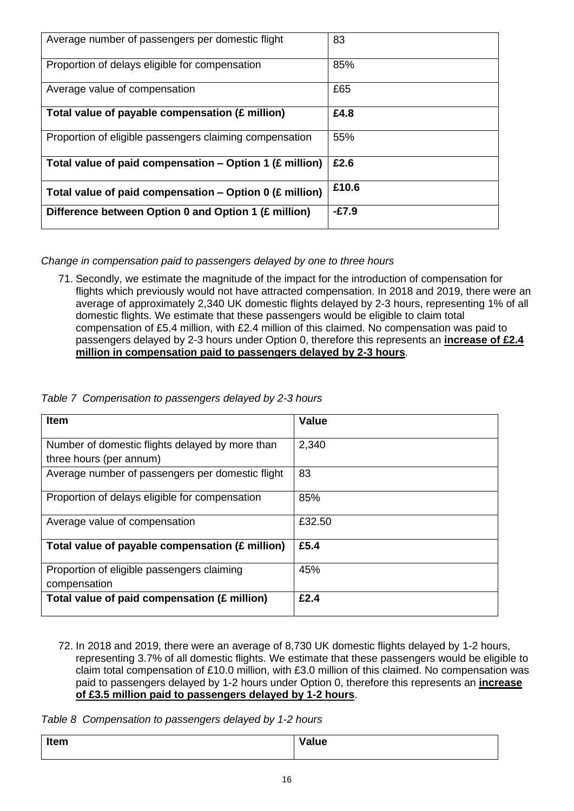| Average number of passengers per domestic flight        | 83      |
|---------------------------------------------------------|---------|
| Proportion of delays eligible for compensation          | 85%     |
| Average value of compensation                           | £65     |
| Total value of payable compensation (£ million)         | £4.8    |
| Proportion of eligible passengers claiming compensation | 55%     |
| Total value of paid compensation - Option 1 (£ million) | £2.6    |
| Total value of paid compensation - Option 0 (£ million) | £10.6   |
| Difference between Option 0 and Option 1 (£ million)    | $-E7.9$ |

*Change in compensation paid to passengers delayed by one to three hours*

71. Secondly, we estimate the magnitude of the impact for the introduction of compensation for flights which previously would not have attracted compensation. In 2018 and 2019, there were an average of approximately 2,340 UK domestic flights delayed by 2-3 hours, representing 1% of all domestic flights. We estimate that these passengers would be eligible to claim total compensation of £5.4 million, with £2.4 million of this claimed. No compensation was paid to passengers delayed by 2-3 hours under Option 0, therefore this represents an **increase of £2.4 million in compensation paid to passengers delayed by 2-3 hours**.

<span id="page-15-0"></span>

|  |  |  | Table 7 Compensation to passengers delayed by 2-3 hours |  |
|--|--|--|---------------------------------------------------------|--|
|--|--|--|---------------------------------------------------------|--|

| Item                                             | <b>Value</b> |
|--------------------------------------------------|--------------|
| Number of domestic flights delayed by more than  | 2,340        |
| three hours (per annum)                          |              |
| Average number of passengers per domestic flight | 83           |
| Proportion of delays eligible for compensation   | 85%          |
| Average value of compensation                    | £32.50       |
| Total value of payable compensation (£ million)  | £5.4         |
| Proportion of eligible passengers claiming       | 45%          |
| compensation                                     |              |
| Total value of paid compensation (£ million)     | £2.4         |

72. In 2018 and 2019, there were an average of 8,730 UK domestic flights delayed by 1-2 hours, representing 3.7% of all domestic flights. We estimate that these passengers would be eligible to claim total compensation of £10.0 million, with £3.0 million of this claimed. No compensation was paid to passengers delayed by 1-2 hours under Option 0, therefore this represents an **increase of £3.5 million paid to passengers delayed by 1-2 hours**.

<span id="page-15-1"></span>*Table 8 Compensation to passengers delayed by 1-2 hours*

| Item | Value |
|------|-------|
|      |       |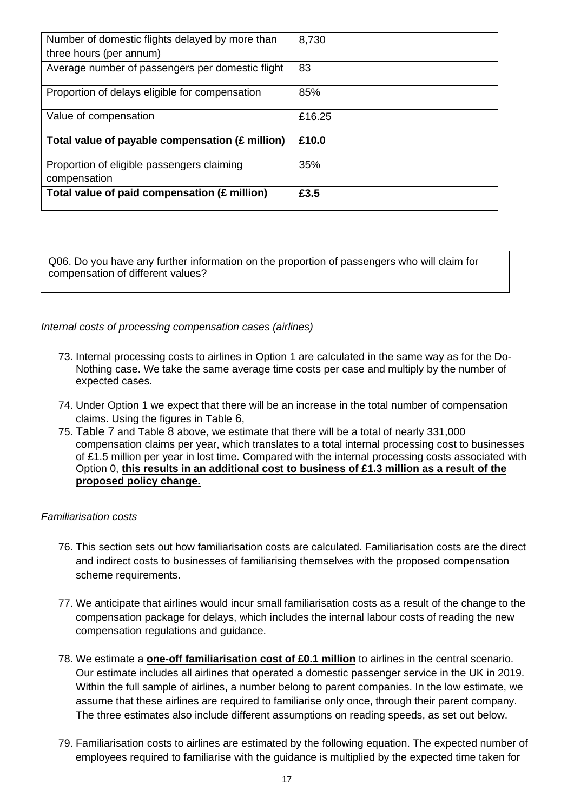| Number of domestic flights delayed by more than  | 8,730  |
|--------------------------------------------------|--------|
| three hours (per annum)                          |        |
| Average number of passengers per domestic flight | 83     |
| Proportion of delays eligible for compensation   | 85%    |
| Value of compensation                            | £16.25 |
| Total value of payable compensation (£ million)  | £10.0  |
| Proportion of eligible passengers claiming       | 35%    |
| compensation                                     |        |
| Total value of paid compensation (£ million)     | £3.5   |

Q06. Do you have any further information on the proportion of passengers who will claim for compensation of different values?

#### *Internal costs of processing compensation cases (airlines)*

- 73. Internal processing costs to airlines in Option 1 are calculated in the same way as for the Do-Nothing case. We take the same average time costs per case and multiply by the number of expected cases.
- 74. Under Option 1 we expect that there will be an increase in the total number of compensation claims. Using the figures in [Table](#page-14-0) [6](#page-14-0),
- 75. [Table 7](#page-15-0) and [Table](#page-15-1) [8](#page-15-1) above, we estimate that there will be a total of nearly 331,000 compensation claims per year, which translates to a total internal processing cost to businesses of £1.5 million per year in lost time. Compared with the internal processing costs associated with Option 0, **this results in an additional cost to business of £1.3 million as a result of the proposed policy change.**

#### *Familiarisation costs*

- 76. This section sets out how familiarisation costs are calculated. Familiarisation costs are the direct and indirect costs to businesses of familiarising themselves with the proposed compensation scheme requirements.
- 77. We anticipate that airlines would incur small familiarisation costs as a result of the change to the compensation package for delays, which includes the internal labour costs of reading the new compensation regulations and guidance.
- 78. We estimate a **one-off familiarisation cost of £0.1 million** to airlines in the central scenario. Our estimate includes all airlines that operated a domestic passenger service in the UK in 2019. Within the full sample of airlines, a number belong to parent companies. In the low estimate, we assume that these airlines are required to familiarise only once, through their parent company. The three estimates also include different assumptions on reading speeds, as set out below.
- 79. Familiarisation costs to airlines are estimated by the following equation. The expected number of employees required to familiarise with the guidance is multiplied by the expected time taken for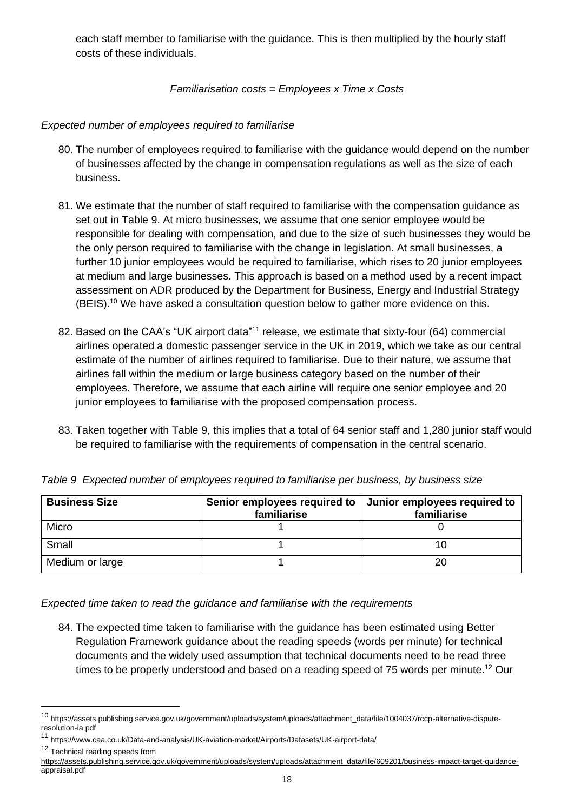each staff member to familiarise with the guidance. This is then multiplied by the hourly staff costs of these individuals.

*Familiarisation costs = Employees x Time x Costs*

*Expected number of employees required to familiarise*

- 80. The number of employees required to familiarise with the guidance would depend on the number of businesses affected by the change in compensation regulations as well as the size of each business.
- 81. We estimate that the number of staff required to familiarise with the compensation guidance as set out in [Table](#page-17-0) 9. At micro businesses, we assume that one senior employee would be responsible for dealing with compensation, and due to the size of such businesses they would be the only person required to familiarise with the change in legislation. At small businesses, a further 10 junior employees would be required to familiarise, which rises to 20 junior employees at medium and large businesses. This approach is based on a method used by a recent impact assessment on ADR produced by the Department for Business, Energy and Industrial Strategy (BEIS).<sup>10</sup> We have asked a consultation question below to gather more evidence on this.
- 82. Based on the CAA's "UK airport data"<sup>11</sup> release, we estimate that sixty-four (64) commercial airlines operated a domestic passenger service in the UK in 2019, which we take as our central estimate of the number of airlines required to familiarise. Due to their nature, we assume that airlines fall within the medium or large business category based on the number of their employees. Therefore, we assume that each airline will require one senior employee and 20 junior employees to familiarise with the proposed compensation process.
- 83. Taken together with [Table](#page-17-0) 9, this implies that a total of 64 senior staff and 1,280 junior staff would be required to familiarise with the requirements of compensation in the central scenario.

| <b>Business Size</b> | Senior employees required to   Junior employees required to<br>familiarise | familiarise |
|----------------------|----------------------------------------------------------------------------|-------------|
| Micro                |                                                                            |             |
| Small                |                                                                            |             |
| Medium or large      |                                                                            | 20          |

<span id="page-17-0"></span>

|  |  |  |  |  | Table 9 Expected number of employees required to familiarise per business, by business size |  |  |  |
|--|--|--|--|--|---------------------------------------------------------------------------------------------|--|--|--|
|--|--|--|--|--|---------------------------------------------------------------------------------------------|--|--|--|

*Expected time taken to read the guidance and familiarise with the requirements* 

84. The expected time taken to familiarise with the guidance has been estimated using Better Regulation Framework guidance about the reading speeds (words per minute) for technical documents and the widely used assumption that technical documents need to be read three times to be properly understood and based on a reading speed of 75 words per minute.<sup>12</sup> Our

<sup>12</sup> Technical reading speeds from

[https://assets.publishing.service.gov.uk/government/uploads/system/uploads/attachment\\_data/file/609201/business-impact-target-guidance](https://assets.publishing.service.gov.uk/government/uploads/system/uploads/attachment_data/file/609201/business-impact-target-guidance-appraisal.pdf)[appraisal.pdf](https://assets.publishing.service.gov.uk/government/uploads/system/uploads/attachment_data/file/609201/business-impact-target-guidance-appraisal.pdf)

<sup>10</sup> https://assets.publishing.service.gov.uk/government/uploads/system/uploads/attachment\_data/file/1004037/rccp-alternative-disputeresolution-ia.pdf

<sup>11</sup> https://www.caa.co.uk/Data-and-analysis/UK-aviation-market/Airports/Datasets/UK-airport-data/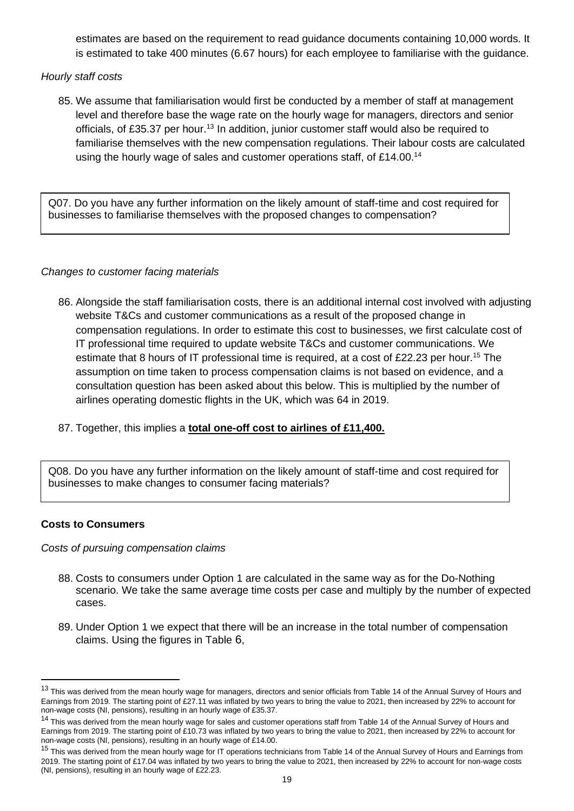estimates are based on the requirement to read guidance documents containing 10,000 words. It is estimated to take 400 minutes (6.67 hours) for each employee to familiarise with the guidance.

# *Hourly staff costs*

85. We assume that familiarisation would first be conducted by a member of staff at management level and therefore base the wage rate on the hourly wage for managers, directors and senior officials, of £35.37 per hour.<sup>13</sup> In addition, junior customer staff would also be required to familiarise themselves with the new compensation regulations. Their labour costs are calculated using the hourly wage of sales and customer operations staff, of £14.00.<sup>14</sup>

Q07. Do you have any further information on the likely amount of staff-time and cost required for businesses to familiarise themselves with the proposed changes to compensation?

# *Changes to customer facing materials*

86. Alongside the staff familiarisation costs, there is an additional internal cost involved with adjusting website T&Cs and customer communications as a result of the proposed change in compensation regulations. In order to estimate this cost to businesses, we first calculate cost of IT professional time required to update website T&Cs and customer communications. We estimate that 8 hours of IT professional time is required, at a cost of £22.23 per hour.<sup>15</sup> The assumption on time taken to process compensation claims is not based on evidence, and a consultation question has been asked about this below. This is multiplied by the number of airlines operating domestic flights in the UK, which was 64 in 2019.

# 87. Together, this implies a **total one-off cost to airlines of £11,400.**

Q08. Do you have any further information on the likely amount of staff-time and cost required for businesses to make changes to consumer facing materials?

# **Costs to Consumers**

*Costs of pursuing compensation claims*

- 88. Costs to consumers under Option 1 are calculated in the same way as for the Do-Nothing scenario. We take the same average time costs per case and multiply by the number of expected cases.
- 89. Under Option 1 we expect that there will be an increase in the total number of compensation claims. Using the figures in [Table](#page-14-0) [6](#page-14-0),

<sup>&</sup>lt;sup>13</sup> This was derived from the mean hourly wage for managers, directors and senior officials from Table 14 of the Annual Survey of Hours and Earnings from 2019. The starting point of £27.11 was inflated by two years to bring the value to 2021, then increased by 22% to account for non-wage costs (NI, pensions), resulting in an hourly wage of £35.37.

<sup>&</sup>lt;sup>14</sup> This was derived from the mean hourly wage for sales and customer operations staff from Table 14 of the Annual Survey of Hours and Earnings from 2019. The starting point of £10.73 was inflated by two years to bring the value to 2021, then increased by 22% to account for non-wage costs (NI, pensions), resulting in an hourly wage of £14.00.

<sup>&</sup>lt;sup>15</sup> This was derived from the mean hourly wage for IT operations technicians from Table 14 of the Annual Survey of Hours and Earnings from 2019. The starting point of £17.04 was inflated by two years to bring the value to 2021, then increased by 22% to account for non-wage costs (NI, pensions), resulting in an hourly wage of £22.23.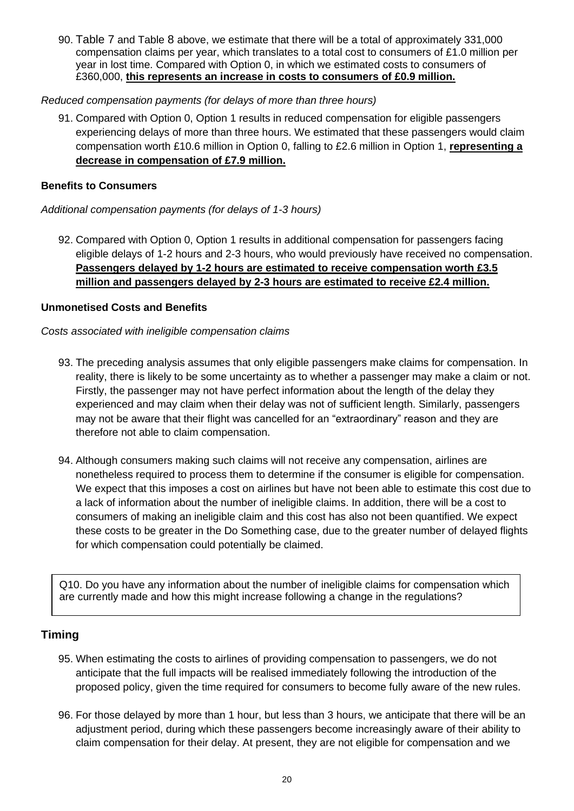90. [Table 7](#page-15-0) and [Table](#page-15-1) [8](#page-15-1) above, we estimate that there will be a total of approximately 331,000 compensation claims per year, which translates to a total cost to consumers of £1.0 million per year in lost time. Compared with Option 0, in which we estimated costs to consumers of £360,000, **this represents an increase in costs to consumers of £0.9 million.**

### *Reduced compensation payments (for delays of more than three hours)*

91. Compared with Option 0, Option 1 results in reduced compensation for eligible passengers experiencing delays of more than three hours. We estimated that these passengers would claim compensation worth £10.6 million in Option 0, falling to £2.6 million in Option 1, **representing a decrease in compensation of £7.9 million.** 

# **Benefits to Consumers**

*Additional compensation payments (for delays of 1-3 hours)*

92. Compared with Option 0, Option 1 results in additional compensation for passengers facing eligible delays of 1-2 hours and 2-3 hours, who would previously have received no compensation. **Passengers delayed by 1-2 hours are estimated to receive compensation worth £3.5 million and passengers delayed by 2-3 hours are estimated to receive £2.4 million.**

### **Unmonetised Costs and Benefits**

### *Costs associated with ineligible compensation claims*

- 93. The preceding analysis assumes that only eligible passengers make claims for compensation. In reality, there is likely to be some uncertainty as to whether a passenger may make a claim or not. Firstly, the passenger may not have perfect information about the length of the delay they experienced and may claim when their delay was not of sufficient length. Similarly, passengers may not be aware that their flight was cancelled for an "extraordinary" reason and they are therefore not able to claim compensation.
- 94. Although consumers making such claims will not receive any compensation, airlines are nonetheless required to process them to determine if the consumer is eligible for compensation. We expect that this imposes a cost on airlines but have not been able to estimate this cost due to a lack of information about the number of ineligible claims. In addition, there will be a cost to consumers of making an ineligible claim and this cost has also not been quantified. We expect these costs to be greater in the Do Something case, due to the greater number of delayed flights for which compensation could potentially be claimed.

Q10. Do you have any information about the number of ineligible claims for compensation which are currently made and how this might increase following a change in the regulations?

# <span id="page-19-0"></span>**Timing**

- 95. When estimating the costs to airlines of providing compensation to passengers, we do not anticipate that the full impacts will be realised immediately following the introduction of the proposed policy, given the time required for consumers to become fully aware of the new rules.
- 96. For those delayed by more than 1 hour, but less than 3 hours, we anticipate that there will be an adjustment period, during which these passengers become increasingly aware of their ability to claim compensation for their delay. At present, they are not eligible for compensation and we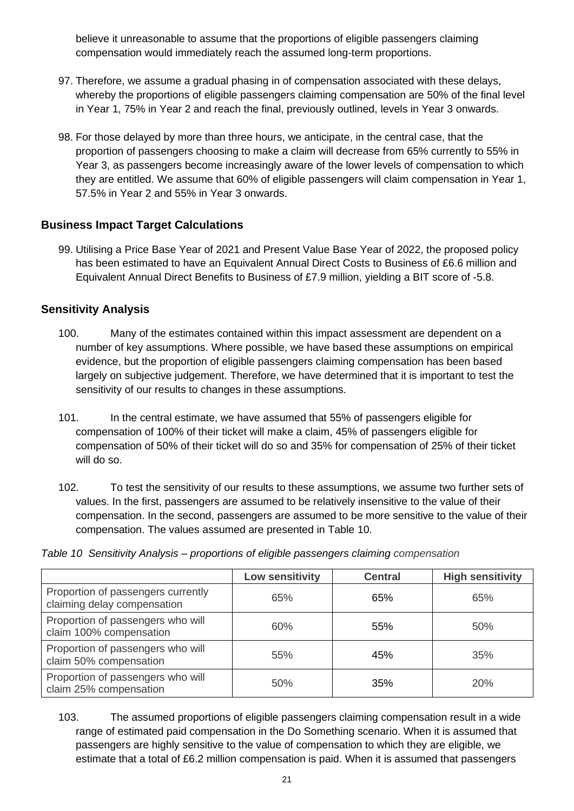believe it unreasonable to assume that the proportions of eligible passengers claiming compensation would immediately reach the assumed long-term proportions.

- 97. Therefore, we assume a gradual phasing in of compensation associated with these delays, whereby the proportions of eligible passengers claiming compensation are 50% of the final level in Year 1, 75% in Year 2 and reach the final, previously outlined, levels in Year 3 onwards.
- 98. For those delayed by more than three hours, we anticipate, in the central case, that the proportion of passengers choosing to make a claim will decrease from 65% currently to 55% in Year 3, as passengers become increasingly aware of the lower levels of compensation to which they are entitled. We assume that 60% of eligible passengers will claim compensation in Year 1, 57.5% in Year 2 and 55% in Year 3 onwards.

# <span id="page-20-0"></span>**Business Impact Target Calculations**

99. Utilising a Price Base Year of 2021 and Present Value Base Year of 2022, the proposed policy has been estimated to have an Equivalent Annual Direct Costs to Business of £6.6 million and Equivalent Annual Direct Benefits to Business of £7.9 million, yielding a BIT score of -5.8.

# <span id="page-20-1"></span>**Sensitivity Analysis**

- 100. Many of the estimates contained within this impact assessment are dependent on a number of key assumptions. Where possible, we have based these assumptions on empirical evidence, but the proportion of eligible passengers claiming compensation has been based largely on subjective judgement. Therefore, we have determined that it is important to test the sensitivity of our results to changes in these assumptions.
- 101. In the central estimate, we have assumed that 55% of passengers eligible for compensation of 100% of their ticket will make a claim, 45% of passengers eligible for compensation of 50% of their ticket will do so and 35% for compensation of 25% of their ticket will do so.
- 102. To test the sensitivity of our results to these assumptions, we assume two further sets of values. In the first, passengers are assumed to be relatively insensitive to the value of their compensation. In the second, passengers are assumed to be more sensitive to the value of their compensation. The values assumed are presented in [Table 10.](#page-20-2)

<span id="page-20-2"></span>*Table 10 Sensitivity Analysis – proportions of eligible passengers claiming compensation*

|                                                                   | Low sensitivity | <b>Central</b> | <b>High sensitivity</b> |
|-------------------------------------------------------------------|-----------------|----------------|-------------------------|
| Proportion of passengers currently<br>claiming delay compensation | 65%             | 65%            | 65%                     |
| Proportion of passengers who will<br>claim 100% compensation      | 60%             | 55%            | 50%                     |
| Proportion of passengers who will<br>claim 50% compensation       | 55%             | 45%            | 35%                     |
| Proportion of passengers who will<br>claim 25% compensation       | 50%             | 35%            | 20%                     |

103. The assumed proportions of eligible passengers claiming compensation result in a wide range of estimated paid compensation in the Do Something scenario. When it is assumed that passengers are highly sensitive to the value of compensation to which they are eligible, we estimate that a total of £6.2 million compensation is paid. When it is assumed that passengers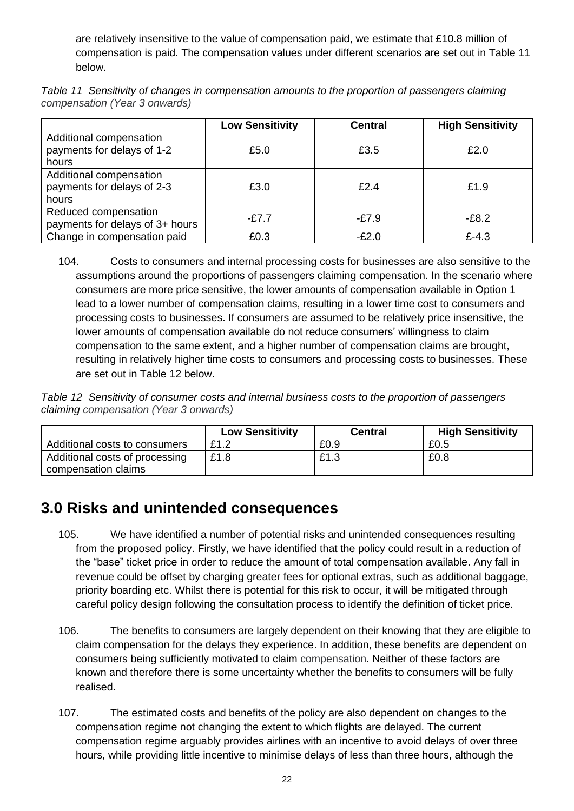are relatively insensitive to the value of compensation paid, we estimate that £10.8 million of compensation is paid. The compensation values under different scenarios are set out in [Table 11](#page-21-1) below.

<span id="page-21-1"></span>*Table 11 Sensitivity of changes in compensation amounts to the proportion of passengers claiming compensation (Year 3 onwards)*

|                                                                | <b>Low Sensitivity</b> | <b>Central</b> | <b>High Sensitivity</b> |
|----------------------------------------------------------------|------------------------|----------------|-------------------------|
| Additional compensation<br>payments for delays of 1-2<br>hours | £5.0                   | £3.5           | £2.0                    |
| Additional compensation<br>payments for delays of 2-3<br>hours | £3.0                   | £2.4           | £1.9                    |
| Reduced compensation<br>payments for delays of 3+ hours        | -£7.7                  | $-E7.9$        | $-E8.2$                 |
| Change in compensation paid                                    | £0.3                   | -£2.0          | $£-4.3$                 |

<sup>104.</sup> Costs to consumers and internal processing costs for businesses are also sensitive to the assumptions around the proportions of passengers claiming compensation. In the scenario where consumers are more price sensitive, the lower amounts of compensation available in Option 1 lead to a lower number of compensation claims, resulting in a lower time cost to consumers and processing costs to businesses. If consumers are assumed to be relatively price insensitive, the lower amounts of compensation available do not reduce consumers' willingness to claim compensation to the same extent, and a higher number of compensation claims are brought, resulting in relatively higher time costs to consumers and processing costs to businesses. These are set out in [Table 12](#page-21-2) below.

<span id="page-21-2"></span>*Table 12 Sensitivity of consumer costs and internal business costs to the proportion of passengers claiming compensation (Year 3 onwards)*

|                                                       | <b>Low Sensitivity</b> | <b>Central</b> | <b>High Sensitivity</b> |
|-------------------------------------------------------|------------------------|----------------|-------------------------|
| Additional costs to consumers                         | £1.2                   | £0.9           | £0.5                    |
| Additional costs of processing<br>compensation claims | £1.8                   | £1.3           | £0.8                    |

# <span id="page-21-0"></span>**3.0 Risks and unintended consequences**

- 105. We have identified a number of potential risks and unintended consequences resulting from the proposed policy. Firstly, we have identified that the policy could result in a reduction of the "base" ticket price in order to reduce the amount of total compensation available. Any fall in revenue could be offset by charging greater fees for optional extras, such as additional baggage, priority boarding etc. Whilst there is potential for this risk to occur, it will be mitigated through careful policy design following the consultation process to identify the definition of ticket price.
- 106. The benefits to consumers are largely dependent on their knowing that they are eligible to claim compensation for the delays they experience. In addition, these benefits are dependent on consumers being sufficiently motivated to claim compensation. Neither of these factors are known and therefore there is some uncertainty whether the benefits to consumers will be fully realised.
- 107. The estimated costs and benefits of the policy are also dependent on changes to the compensation regime not changing the extent to which flights are delayed. The current compensation regime arguably provides airlines with an incentive to avoid delays of over three hours, while providing little incentive to minimise delays of less than three hours, although the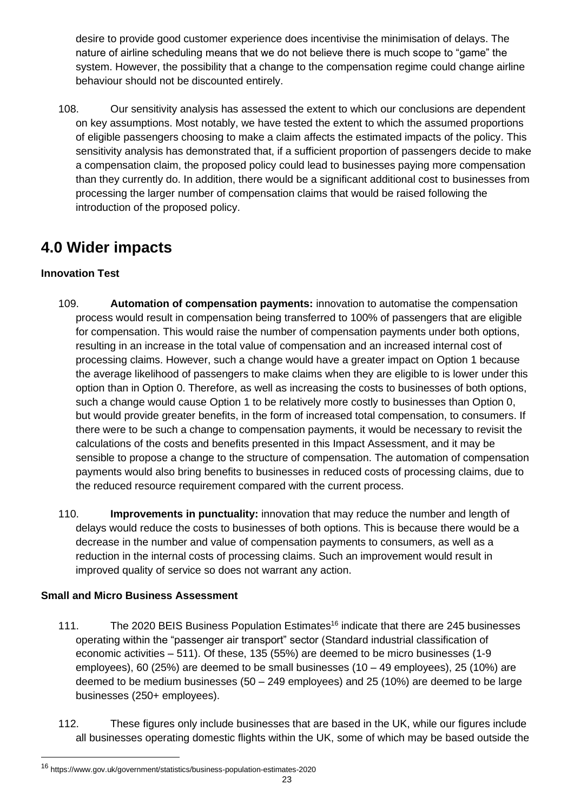desire to provide good customer experience does incentivise the minimisation of delays. The nature of airline scheduling means that we do not believe there is much scope to "game" the system. However, the possibility that a change to the compensation regime could change airline behaviour should not be discounted entirely.

108. Our sensitivity analysis has assessed the extent to which our conclusions are dependent on key assumptions. Most notably, we have tested the extent to which the assumed proportions of eligible passengers choosing to make a claim affects the estimated impacts of the policy. This sensitivity analysis has demonstrated that, if a sufficient proportion of passengers decide to make a compensation claim, the proposed policy could lead to businesses paying more compensation than they currently do. In addition, there would be a significant additional cost to businesses from processing the larger number of compensation claims that would be raised following the introduction of the proposed policy.

# <span id="page-22-0"></span>**4.0 Wider impacts**

# **Innovation Test**

- 109. **Automation of compensation payments:** innovation to automatise the compensation process would result in compensation being transferred to 100% of passengers that are eligible for compensation. This would raise the number of compensation payments under both options, resulting in an increase in the total value of compensation and an increased internal cost of processing claims. However, such a change would have a greater impact on Option 1 because the average likelihood of passengers to make claims when they are eligible to is lower under this option than in Option 0. Therefore, as well as increasing the costs to businesses of both options, such a change would cause Option 1 to be relatively more costly to businesses than Option 0, but would provide greater benefits, in the form of increased total compensation, to consumers. If there were to be such a change to compensation payments, it would be necessary to revisit the calculations of the costs and benefits presented in this Impact Assessment, and it may be sensible to propose a change to the structure of compensation. The automation of compensation payments would also bring benefits to businesses in reduced costs of processing claims, due to the reduced resource requirement compared with the current process.
- 110. **Improvements in punctuality:** innovation that may reduce the number and length of delays would reduce the costs to businesses of both options. This is because there would be a decrease in the number and value of compensation payments to consumers, as well as a reduction in the internal costs of processing claims. Such an improvement would result in improved quality of service so does not warrant any action.

# **Small and Micro Business Assessment**

- 111. The 2020 BEIS Business Population Estimates<sup>16</sup> indicate that there are 245 businesses operating within the "passenger air transport" sector (Standard industrial classification of economic activities – 511). Of these, 135 (55%) are deemed to be micro businesses (1-9 employees), 60 (25%) are deemed to be small businesses (10 – 49 employees), 25 (10%) are deemed to be medium businesses (50 – 249 employees) and 25 (10%) are deemed to be large businesses (250+ employees).
- 112. These figures only include businesses that are based in the UK, while our figures include all businesses operating domestic flights within the UK, some of which may be based outside the

<sup>16</sup> https://www.gov.uk/government/statistics/business-population-estimates-2020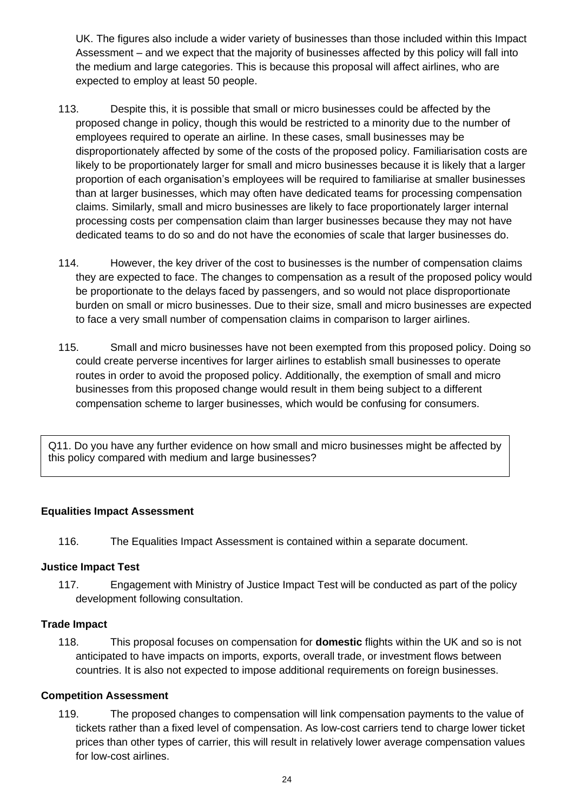UK. The figures also include a wider variety of businesses than those included within this Impact Assessment – and we expect that the majority of businesses affected by this policy will fall into the medium and large categories. This is because this proposal will affect airlines, who are expected to employ at least 50 people.

- 113. Despite this, it is possible that small or micro businesses could be affected by the proposed change in policy, though this would be restricted to a minority due to the number of employees required to operate an airline. In these cases, small businesses may be disproportionately affected by some of the costs of the proposed policy. Familiarisation costs are likely to be proportionately larger for small and micro businesses because it is likely that a larger proportion of each organisation's employees will be required to familiarise at smaller businesses than at larger businesses, which may often have dedicated teams for processing compensation claims. Similarly, small and micro businesses are likely to face proportionately larger internal processing costs per compensation claim than larger businesses because they may not have dedicated teams to do so and do not have the economies of scale that larger businesses do.
- 114. However, the key driver of the cost to businesses is the number of compensation claims they are expected to face. The changes to compensation as a result of the proposed policy would be proportionate to the delays faced by passengers, and so would not place disproportionate burden on small or micro businesses. Due to their size, small and micro businesses are expected to face a very small number of compensation claims in comparison to larger airlines.
- 115. Small and micro businesses have not been exempted from this proposed policy. Doing so could create perverse incentives for larger airlines to establish small businesses to operate routes in order to avoid the proposed policy. Additionally, the exemption of small and micro businesses from this proposed change would result in them being subject to a different compensation scheme to larger businesses, which would be confusing for consumers.

Q11. Do you have any further evidence on how small and micro businesses might be affected by this policy compared with medium and large businesses?

# **[Equalities Impact Assessment](https://www.equalityhumanrights.com/sites/default/files/technical_guidance_on_the_psed_england.pdf)**

116. The Equalities Impact Assessment is contained within a separate document.

#### **Justice Impact Test**

117. Engagement with Ministry of Justice Impact Test will be conducted as part of the policy development following consultation.

# **Trade Impact**

118. This proposal focuses on compensation for **domestic** flights within the UK and so is not anticipated to have impacts on imports, exports, overall trade, or investment flows between countries. It is also not expected to impose additional requirements on foreign businesses.

# **Competition Assessment**

119. The proposed changes to compensation will link compensation payments to the value of tickets rather than a fixed level of compensation. As low-cost carriers tend to charge lower ticket prices than other types of carrier, this will result in relatively lower average compensation values for low-cost airlines.